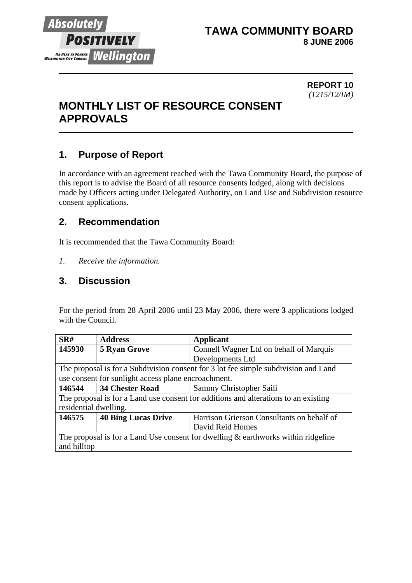

## **TAWA COMMUNITY BOARD 8 JUNE 2006**

#### **REPORT 10** *(1215/12/IM)*

# **MONTHLY LIST OF RESOURCE CONSENT APPROVALS**

# **1. Purpose of Report**

In accordance with an agreement reached with the Tawa Community Board, the purpose of this report is to advise the Board of all resource consents lodged, along with decisions made by Officers acting under Delegated Authority, on Land Use and Subdivision resource consent applications.

# **2. Recommendation**

It is recommended that the Tawa Community Board:

*1. Receive the information.*

## **3. Discussion**

For the period from 28 April 2006 until 23 May 2006, there were **3** applications lodged with the Council.

| SR#                                                                                  | <b>Address</b>             | <b>Applicant</b>                           |  |
|--------------------------------------------------------------------------------------|----------------------------|--------------------------------------------|--|
| 145930                                                                               | <b>5 Ryan Grove</b>        | Connell Wagner Ltd on behalf of Marquis    |  |
|                                                                                      |                            | Developments Ltd                           |  |
| The proposal is for a Subdivision consent for 3 lot fee simple subdivision and Land  |                            |                                            |  |
| use consent for sunlight access plane encroachment.                                  |                            |                                            |  |
| 146544                                                                               | <b>34 Chester Road</b>     | Sammy Christopher Saili                    |  |
| The proposal is for a Land use consent for additions and alterations to an existing  |                            |                                            |  |
| residential dwelling.                                                                |                            |                                            |  |
| 146575                                                                               | <b>40 Bing Lucas Drive</b> | Harrison Grierson Consultants on behalf of |  |
|                                                                                      |                            | David Reid Homes                           |  |
| The proposal is for a Land Use consent for dwelling $\&$ earthworks within ridgeline |                            |                                            |  |
| and hilltop                                                                          |                            |                                            |  |